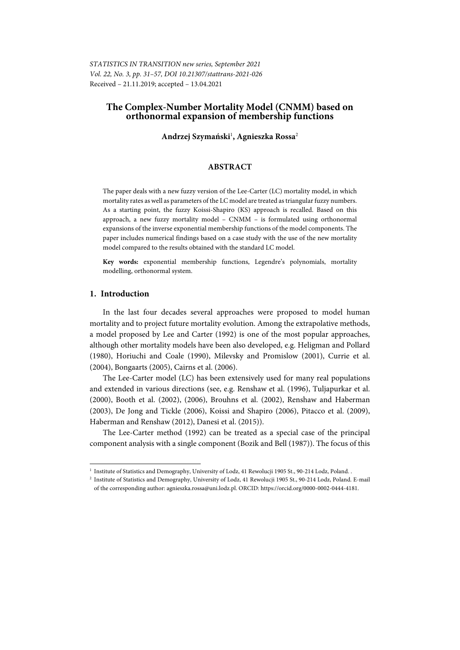*STATISTICS IN TRANSITION new series, September 2021 Vol. 22, No. 3, pp. 31–57, DOI 10.21307/stattrans-2021-026*  Received – 21.11.2019; accepted – 13.04.2021

# **The Complex-Number Mortality Model (CNMM) based on orthonormal expansion of membership functions**

## **Andrzej Szymański**<sup>1</sup> **, Agnieszka Rossa**<sup>2</sup>

## **ABSTRACT**

The paper deals with a new fuzzy version of the Lee-Carter (LC) mortality model, in which mortality rates as well as parameters of the LC model are treated as triangular fuzzy numbers. As a starting point, the fuzzy Koissi-Shapiro (KS) approach is recalled. Based on this approach, a new fuzzy mortality model – CNMM – is formulated using orthonormal expansions of the inverse exponential membership functions of the model components. The paper includes numerical findings based on a case study with the use of the new mortality model compared to the results obtained with the standard LC model.

**Key words:** exponential membership functions, Legendre's polynomials, mortality modelling, orthonormal system.

## **1. Introduction**

l

In the last four decades several approaches were proposed to model human mortality and to project future mortality evolution. Among the extrapolative methods, a model proposed by Lee and Carter (1992) is one of the most popular approaches, although other mortality models have been also developed, e.g. Heligman and Pollard (1980), Horiuchi and Coale (1990), Milevsky and Promislow (2001), Currie et al. (2004), Bongaarts (2005), Cairns et al. (2006).

The Lee-Carter model (LC) has been extensively used for many real populations and extended in various directions (see, e.g. Renshaw et al. (1996), Tuljapurkar et al. (2000), Booth et al. (2002), (2006), Brouhns et al. (2002), Renshaw and Haberman (2003), De Jong and Tickle (2006), Koissi and Shapiro (2006), Pitacco et al. (2009), Haberman and Renshaw (2012), Danesi et al. (2015)).

The Lee-Carter method (1992) can be treated as a special case of the principal component analysis with a single component (Bozik and Bell (1987)). The focus of this

<sup>&</sup>lt;sup>1</sup> Institute of Statistics and Demography, University of Lodz, 41 Rewolucji 1905 St., 90-214 Lodz, Poland. .<br><sup>2</sup> Institute of Statistics and Demography, University of Lodz, 41 Rewolucji 1905 St., 90-214 Lodz, Poland.

<sup>&</sup>lt;sup>2</sup> Institute of Statistics and Demography, University of Lodz, 41 Rewolucji 1905 St., 90-214 Lodz, Poland. E-mail of the corresponding author: agnieszka.rossa@uni.lodz.pl. ORCID: https://orcid.org/0000-0002-0444-4181.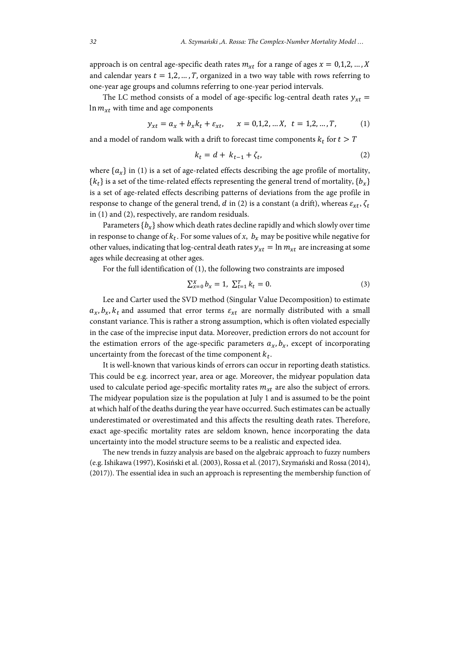approach is on central age-specific death rates  $m_{rt}$  for a range of ages  $x = 0,1,2,...,X$ and calendar years  $t = 1,2, ..., T$ , organized in a two way table with rows referring to one-year age groups and columns referring to one-year period intervals.

The LC method consists of a model of age-specific log-central death rates  $y_{xt}$  =  $\ln m_{xt}$  with time and age components

$$
y_{xt} = a_x + b_x k_t + \varepsilon_{xt}, \qquad x = 0, 1, 2, \dots, X, \quad t = 1, 2, \dots, T,
$$
 (1)

and a model of random walk with a drift to forecast time components  $k_t$  for  $t > T$ 

$$
k_t = d + k_{t-1} + \zeta_t,\tag{2}
$$

where  $\{a_x\}$  in (1) is a set of age-related effects describing the age profile of mortality,  ${k<sub>t</sub>}$  is a set of the time-related effects representing the general trend of mortality,  ${b<sub>r</sub>}$ is a set of age-related effects describing patterns of deviations from the age profile in response to change of the general trend, d in (2) is a constant (a drift), whereas  $\varepsilon_{xt}$ ,  $\zeta_t$ in (1) and (2), respectively, are random residuals.

Parameters  ${b<sub>x</sub>}$  show which death rates decline rapidly and which slowly over time in response to change of  $k_t$ . For some values of *x*,  $b_x$  may be positive while negative for other values, indicating that log-central death rates  $y_{xt} = \ln m_{xt}$  are increasing at some ages while decreasing at other ages.

For the full identification of (1), the following two constraints are imposed

$$
\sum_{x=0}^{X} b_x = 1, \ \sum_{t=1}^{T} k_t = 0. \tag{3}
$$

Lee and Carter used the SVD method (Singular Value Decomposition) to estimate  $a_x, b_x, k_t$  and assumed that error terms  $\varepsilon_{xt}$  are normally distributed with a small constant variance.This is rather a strong assumption, which is often violated especially in the case of the imprecise input data. Moreover, prediction errors do not account for the estimation errors of the age-specific parameters  $a_x, b_x$ , except of incorporating uncertainty from the forecast of the time component  $k_t$ .

It is well-known that various kinds of errors can occur in reporting death statistics. This could be e.g. incorrect year, area or age. Moreover, the midyear population data used to calculate period age-specific mortality rates  $m_{xt}$  are also the subject of errors. The midyear population size is the population at July 1 and is assumed to be the point at which half of the deaths during the year have occurred. Such estimates can be actually underestimated or overestimated and this affects the resulting death rates. Therefore, exact age-specific mortality rates are seldom known, hence incorporating the data uncertainty into the model structure seems to be a realistic and expected idea.

The new trends in fuzzy analysis are based on the algebraic approach to fuzzy numbers (e.g. Ishikawa (1997), Kosiński et al. (2003), Rossa et al. (2017), Szymański and Rossa (2014), (2017)). The essential idea in such an approach is representing the membership function of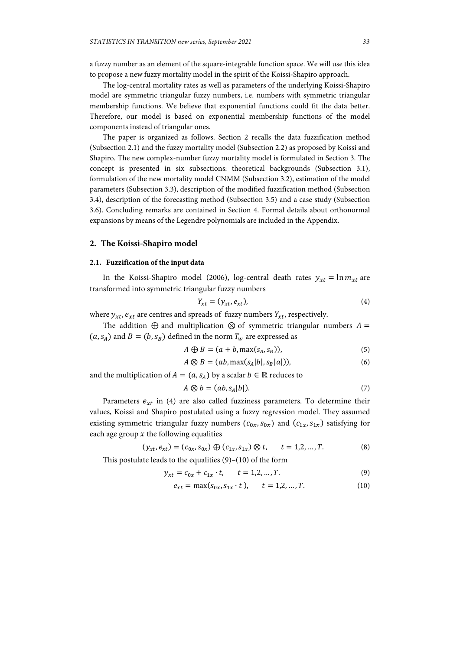a fuzzy number as an element of the square-integrable function space. We will use this idea to propose a new fuzzy mortality model in the spirit of the Koissi-Shapiro approach.

The log-central mortality rates as well as parameters of the underlying Koissi-Shapiro model are symmetric triangular fuzzy numbers, i.e. numbers with symmetric triangular membership functions. We believe that exponential functions could fit the data better. Therefore, our model is based on exponential membership functions of the model components instead of triangular ones.

The paper is organized as follows. Section 2 recalls the data fuzzification method (Subsection 2.1) and the fuzzy mortality model (Subsection 2.2) as proposed by Koissi and Shapiro. The new complex-number fuzzy mortality model is formulated in Section 3. The concept is presented in six subsections: theoretical backgrounds (Subsection 3.1), formulation of the new mortality model CNMM (Subsection 3.2), estimation of the model parameters (Subsection 3.3), description of the modified fuzzification method (Subsection 3.4), description of the forecasting method (Subsection 3.5) and a case study (Subsection 3.6). Concluding remarks are contained in Section 4. Formal details about orthonormal expansions by means of the Legendre polynomials are included in the Appendix.

#### **2. The Koissi-Shapiro model**

#### **2.1. Fuzzification of the input data**

In the Koissi-Shapiro model (2006), log-central death rates  $y_{xt} = \ln m_{xt}$  are transformed into symmetric triangular fuzzy numbers

$$
Y_{xt} = (y_{xt}, e_{xt}), \tag{4}
$$

where  $y_{xt}$ ,  $e_{xt}$  are centres and spreads of fuzzy numbers  $Y_{xt}$ , respectively.

The addition  $\oplus$  and multiplication  $\otimes$  of symmetric triangular numbers  $A =$  $(a, s<sub>A</sub>)$  and  $B = (b, s<sub>B</sub>)$  defined in the norm  $T<sub>w</sub>$  are expressed as

$$
A \oplus B = (a + b, \max(s_A, s_B)), \tag{5}
$$

$$
A \otimes B = (ab, \max(s_A|b|, s_B|a|)), \tag{6}
$$

and the multiplication of  $A = (a, s_A)$  by a scalar  $b \in \mathbb{R}$  reduces to

$$
A \otimes b = (ab, s_A | b|). \tag{7}
$$

Parameters  $e_{xt}$  in (4) are also called fuzziness parameters. To determine their values, Koissi and Shapiro postulated using a fuzzy regression model. They assumed existing symmetric triangular fuzzy numbers  $(c_{0x}, s_{0x})$  and  $(c_{1x}, s_{1x})$  satisfying for each age group  $x$  the following equalities

$$
(y_{xt}, e_{xt}) = (c_{0x}, s_{0x}) \oplus (c_{1x}, s_{1x}) \otimes t, \qquad t = 1, 2, ..., T.
$$
 (8)

This postulate leads to the equalities (9)–(10) of the form

$$
y_{xt} = c_{0x} + c_{1x} \cdot t, \qquad t = 1, 2, ..., T.
$$
 (9)

$$
e_{xt} = \max(s_{0x}, s_{1x} \cdot t), \qquad t = 1, 2, ..., T.
$$
 (10)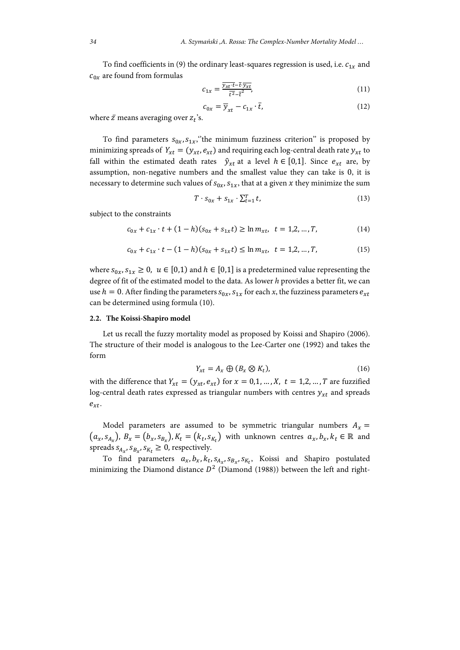To find coefficients in (9) the ordinary least-squares regression is used, i.e.  $c_{1x}$  and  $c_{0x}$  are found from formulas

$$
c_{1x} = \frac{\overline{y_{xt} \cdot t} - \overline{t} \cdot \overline{y_{xt}}}{\overline{t}^2 - \overline{t}^2},\tag{11}
$$

$$
c_{0x} = \overline{y}_{xt} - c_{1x} \cdot \overline{t},
$$
\n(12)

where  $\bar{z}$  means averaging over  $z_t$ 's.

To find parameters  $S_{0x}$ ,  $S_{1x}$ , the minimum fuzziness criterion" is proposed by minimizing spreads of  $Y_{xt} = (y_{xt}, e_{xt})$  and requiring each log-central death rate  $y_{xt}$  to fall within the estimated death rates  $\hat{y}_{xt}$  at a level  $h \in [0,1]$ . Since  $e_{xt}$  are, by assumption, non-negative numbers and the smallest value they can take is 0, it is necessary to determine such values of  $s_{0x}$ ,  $s_{1x}$ , that at a given x they minimize the sum

$$
T \cdot s_{0x} + s_{1x} \cdot \sum_{t=1}^{T} t,\tag{13}
$$

subject to the constraints

$$
c_{0x} + c_{1x} \cdot t + (1 - h)(s_{0x} + s_{1x}t) \ge \ln m_{xt}, \ t = 1, 2, ..., T,
$$
 (14)

$$
c_{0x} + c_{1x} \cdot t - (1 - h)(s_{0x} + s_{1x}t) \le \ln m_{xt}, \ t = 1, 2, ..., T,
$$
 (15)

where  $s_{0x}$ ,  $s_{1x} \ge 0$ ,  $u \in [0,1)$  and  $h \in [0,1]$  is a predetermined value representing the degree of fit of the estimated model to the data. As lower *h* provides a better fit, we can use  $h = 0$ . After finding the parameters  $s_{0x}$ ,  $s_{1x}$  for each *x*, the fuzziness parameters  $e_{xt}$ can be determined using formula (10).

#### **2.2. The Koissi-Shapiro model**

Let us recall the fuzzy mortality model as proposed by Koissi and Shapiro (2006). The structure of their model is analogous to the Lee-Carter one (1992) and takes the form

$$
Y_{xt} = A_x \oplus (B_x \otimes K_t), \tag{16}
$$

with the difference that  $Y_{xt} = (y_{xt}, e_{xt})$  for  $x = 0,1, ..., X$ ,  $t = 1,2, ..., T$  are fuzzified log-central death rates expressed as triangular numbers with centres  $y_{xt}$  and spreads  $e_{xt}$ .

Model parameters are assumed to be symmetric triangular numbers  $A_x =$  $(a_x, s_{A_x})$ ,  $B_x = (b_x, s_{B_x})$ ,  $K_t = (k_t, s_{K_t})$  with unknown centres  $a_x, b_x, k_t \in \mathbb{R}$  and spreads  $s_{A_x}, s_{B_x}, s_{K_t} \geq 0$ , respectively.

To find parameters  $a_x$ ,  $b_x$ ,  $k_t$ ,  $s_{A_x}$ ,  $s_{B_x}$ ,  $s_{K_t}$ , Koissi and Shapiro postulated minimizing the Diamond distance  $D^2$  (Diamond (1988)) between the left and right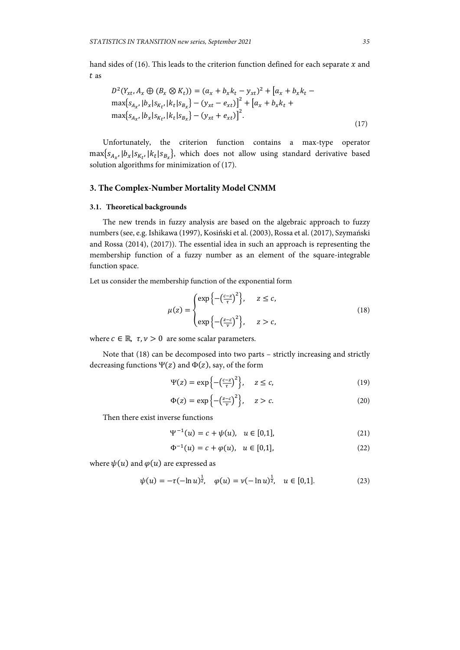hand sides of (16). This leads to the criterion function defined for each separate  $x$  and t as

$$
D^{2}(Y_{xt}, A_{x} \oplus (B_{x} \otimes K_{t})) = (a_{x} + b_{x}k_{t} - y_{xt})^{2} + [a_{x} + b_{x}k_{t} - \max\{s_{A_{x}}, |b_{x}|s_{R_{t}}, |k_{t}|s_{B_{x}}\} - (y_{xt} - e_{xt})]^{2} + [a_{x} + b_{x}k_{t} + \max\{s_{A_{x}}, |b_{x}|s_{R_{t}}, |k_{t}|s_{B_{x}}\} - (y_{xt} + e_{xt})]^{2}.
$$
\n(17)

Unfortunately, the criterion function contains a max-type operator  $\max\{s_{A_{x}}, |b_{x}|s_{K_{t}}, |k_{t}|s_{B_{x}}\}$ , which does not allow using standard derivative based solution algorithms for minimization of (17).

## **3. The Complex-Number Mortality Model CNMM**

## **3.1. Theoretical backgrounds**

The new trends in fuzzy analysis are based on the algebraic approach to fuzzy numbers (see, e.g. Ishikawa (1997), Kosiński et al. (2003), Rossa et al. (2017), Szymański and Rossa (2014), (2017)). The essential idea in such an approach is representing the membership function of a fuzzy number as an element of the square-integrable function space.

ଶ

Let us consider the membership function of the exponential form

$$
\mu(z) = \begin{cases} \exp\left\{-\left(\frac{c-z}{\tau}\right)^2\right\}, & z \le c, \\ \exp\left\{-\left(\frac{z-c}{\nu}\right)^2\right\}, & z > c, \end{cases}
$$
\n(18)

where  $c \in \mathbb{R}$ ,  $\tau, \nu > 0$  are some scalar parameters.

Note that (18) can be decomposed into two parts – strictly increasing and strictly decreasing functions  $\Psi(z)$  and  $\Phi(z)$ , say, of the form

$$
\Psi(z) = \exp\left\{-\left(\frac{c-z}{\tau}\right)^2\right\}, \quad z \le c,\tag{19}
$$

$$
\Phi(z) = \exp\left\{-\left(\frac{z-c}{v}\right)^2\right\}, \quad z > c. \tag{20}
$$

Then there exist inverse functions

$$
\Psi^{-1}(u) = c + \psi(u), \quad u \in [0,1], \tag{21}
$$

$$
\Phi^{-1}(u) = c + \varphi(u), \quad u \in [0,1], \tag{22}
$$

where  $\psi(u)$  and  $\varphi(u)$  are expressed as

$$
\psi(u) = -\tau(-\ln u)^{\frac{1}{2}}, \quad \varphi(u) = \nu(-\ln u)^{\frac{1}{2}}, \quad u \in [0,1]. \tag{23}
$$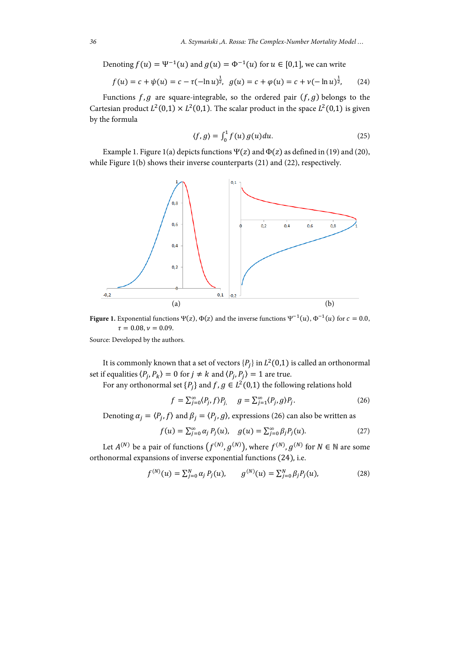Denoting  $f(u) = \Psi^{-1}(u)$  and  $g(u) = \Phi^{-1}(u)$  for  $u \in [0,1]$ , we can write

$$
f(u) = c + \psi(u) = c - \tau(-\ln u)^{\frac{1}{2}}, \ \ g(u) = c + \varphi(u) = c + \nu(-\ln u)^{\frac{1}{2}}, \tag{24}
$$

Functions  $f, g$  are square-integrable, so the ordered pair  $(f, g)$  belongs to the Cartesian product  $L^2(0,1) \times L^2(0,1)$ . The scalar product in the space  $L^2(0,1)$  is given by the formula

$$
\langle f, g \rangle = \int_0^1 f(u) g(u) du. \tag{25}
$$

Example 1. Figure 1(a) depicts functions  $\Psi(z)$  and  $\Phi(z)$  as defined in (19) and (20), while Figure 1(b) shows their inverse counterparts (21) and (22), respectively.



**Figure 1.** Exponential functions  $\Psi(z)$ ,  $\Phi(z)$  and the inverse functions  $\Psi^{-1}(u)$ ,  $\Phi^{-1}(u)$  for  $c = 0.0$ ,  $\tau = 0.08, \nu = 0.09.$ 

Source: Developed by the authors.

It is commonly known that a set of vectors  $\{P_i\}$  in  $L^2(0,1)$  is called an orthonormal set if equalities  $\langle P_j, P_k \rangle = 0$  for  $j \neq k$  and  $\langle P_j, P_j \rangle = 1$  are true.

For any orthonormal set  $\{P_i\}$  and  $f, g \in L^2(0,1)$  the following relations hold

$$
f = \sum_{j=0}^{\infty} \langle P_j, f \rangle P_j, \quad g = \sum_{j=1}^{\infty} \langle P_j, g \rangle P_j.
$$
 (26)

Denoting  $\alpha_j = \langle P_j, f \rangle$  and  $\beta_j = \langle P_j, g \rangle$ , expressions (26) can also be written as

$$
f(u) = \sum_{j=0}^{\infty} \alpha_j P_j(u), \quad g(u) = \sum_{j=0}^{\infty} \beta_j P_j(u).
$$
 (27)

Let  $A^{(N)}$  be a pair of functions  $(f^{(N)}, g^{(N)})$ , where  $f^{(N)}, g^{(N)}$  for  $N \in \mathbb{N}$  are some orthonormal expansions of inverse exponential functions (24), i.e.

$$
f^{(N)}(u) = \sum_{j=0}^{N} \alpha_j P_j(u), \qquad g^{(N)}(u) = \sum_{j=0}^{N} \beta_j P_j(u), \tag{28}
$$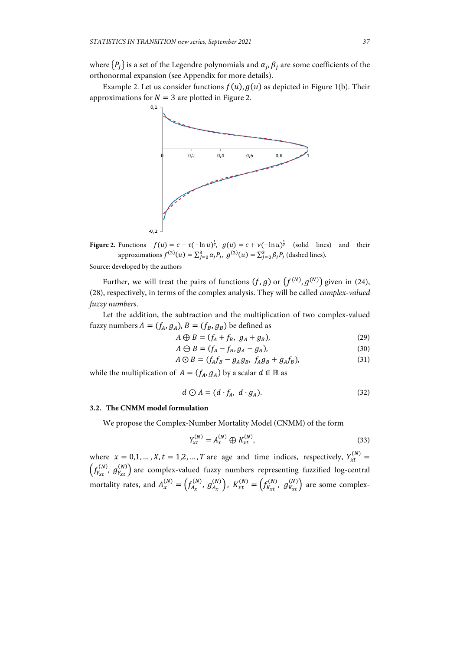where  $\{P_i\}$  is a set of the Legendre polynomials and  $\alpha_i, \beta_i$  are some coefficients of the orthonormal expansion (see Appendix for more details).

Example 2. Let us consider functions  $f(u)$ ,  $g(u)$  as depicted in Figure 1(b). Their approximations for  $N = 3$  are plotted in Figure 2.



**Figure 2.** Functions  $f(u) = c - \tau(-\ln u)^{\frac{1}{2}}$ ,  $g(u) = c + \nu(-\ln u)^{\frac{1}{2}}$  (solid lines) and their approximations  $f^{(3)}(u) = \sum_{j=0}^{3} \alpha_j P_j$ ,  $g^{(3)}(u) = \sum_{j=0}^{3} \beta_j P_j$  (dashed lines). Source: developed by the authors

Further, we will treat the pairs of functions  $(f, g)$  or  $(f^{(N)}, g^{(N)})$  given in (24), (28), respectively, in terms of the complex analysis. They will be called *complex-valued fuzzy numbers*.

Let the addition, the subtraction and the multiplication of two complex-valued fuzzy numbers  $A = (f_A, g_A)$ ,  $B = (f_B, g_B)$  be defined as

$$
A \bigoplus B = (f_A + f_B, g_A + g_B), \tag{29}
$$

$$
A \ominus B = (f_A - f_B, g_A - g_B), \tag{30}
$$

$$
A \odot B = (f_A f_B - g_A g_B, f_A g_B + g_A f_B), \tag{31}
$$

while the multiplication of  $A = (f_A, g_A)$  by a scalar  $d \in \mathbb{R}$  as

$$
d \bigcirc A = (d \cdot f_A, d \cdot g_A). \tag{32}
$$

#### **3.2. The CNMM model formulation**

We propose the Complex-Number Mortality Model (CNMM) of the form

$$
Y_{xt}^{(N)} = A_x^{(N)} \oplus K_{xt}^{(N)},
$$
\n(33)

where  $x = 0, 1, ..., X, t = 1, 2, ..., T$  are age and time indices, respectively,  $Y_{xt}^{(N)} =$  $\left(f_{Y_{xt}}^{(N)},\,g_{Y_{xt}}^{(N)}\right)$  are complex-valued fuzzy numbers representing fuzzified log-central mortality rates, and  $A_x^{(N)} = \left(f_{A_x}^{(N)}, g_{A_x}^{(N)}\right)$ ,  $K_{xt}^{(N)} = \left(f_{K_{xt}}^{(N)}, g_{K_{xt}}^{(N)}\right)$  are some complex-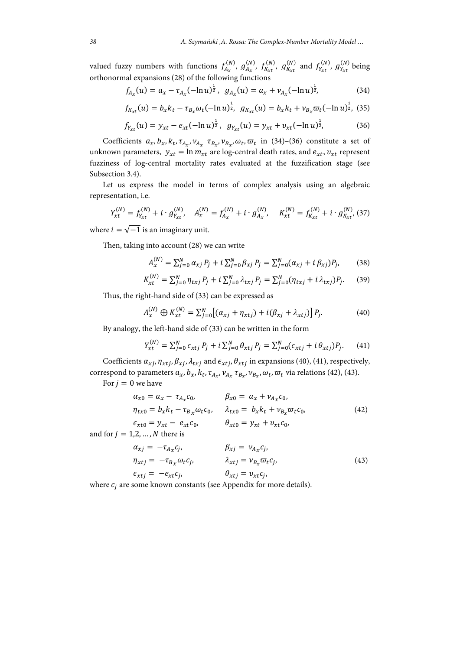valued fuzzy numbers with functions  $f_{A_x}^{(N)}$ ,  $g_{A_x}^{(N)}$ ,  $f_{K_{xt}}^{(N)}$ ,  $g_{K_{xt}}^{(N)}$  and  $f_{Y_{xt}}^{(N)}$ ,  $g_{Y_{xt}}^{(N)}$  being orthonormal expansions (28) of the following functions

$$
f_{A_x}(u) = a_x - \tau_{A_x}(-\ln u)^{\frac{1}{2}}, \ \ g_{A_x}(u) = a_x + \nu_{A_x}(-\ln u)^{\frac{1}{2}}, \tag{34}
$$

$$
f_{K_{xt}}(u) = b_x k_t - \tau_{B_x} \omega_t (-\ln u)^{\frac{1}{2}}, \ \ g_{K_{xt}}(u) = b_x k_t + \nu_{B_x} \varpi_t (-\ln u)^{\frac{1}{2}}, \ (35)
$$

$$
f_{Y_{xt}}(u) = y_{xt} - e_{xt}(-\ln u)^{\frac{1}{2}}, \ \ g_{Y_{xt}}(u) = y_{xt} + v_{xt}(-\ln u)^{\frac{1}{2}}, \tag{36}
$$

Coefficients  $a_x, b_x, k_t, \tau_{A_x}, v_{A_x} \tau_{B_x}, v_{B_x}, \omega_t, \overline{\omega}_t$  in (34)–(36) constitute a set of unknown parameters,  $y_{xt} = \ln m_{xt}$  are log-central death rates, and  $e_{xt}$ ,  $v_{xt}$  represent fuzziness of log-central mortality rates evaluated at the fuzzification stage (see Subsection 3.4).

Let us express the model in terms of complex analysis using an algebraic representation, i.e.

$$
Y_{xt}^{(N)} = f_{Y_{xt}}^{(N)} + i \cdot g_{Y_{xt}}^{(N)}, \quad A_x^{(N)} = f_{A_x}^{(N)} + i \cdot g_{A_x}^{(N)}, \quad K_x^{(N)} = f_{K_{xt}}^{(N)} + i \cdot g_{K_{xt}}^{(N)}, \tag{37}
$$

where  $i = \sqrt{-1}$  is an imaginary unit.

Then, taking into account (28) we can write

$$
A_x^{(N)} = \sum_{j=0}^{N} \alpha_{xj} P_j + i \sum_{j=0}^{N} \beta_{xj} P_j = \sum_{j=0}^{N} (\alpha_{xj} + i \beta_{xj}) P_j, \qquad (38)
$$

$$
K_{xt}^{(N)} = \sum_{j=0}^{N} \eta_{txj} P_j + i \sum_{j=0}^{N} \lambda_{txj} P_j = \sum_{j=0}^{N} (\eta_{txj} + i \lambda_{txj}) P_j.
$$
 (39)

Thus, the right-hand side of (33) can be expressed as

$$
A_x^{(N)} \oplus K_{xt}^{(N)} = \sum_{j=0}^N \left[ (\alpha_{xj} + \eta_{xtj}) + i(\beta_{xj} + \lambda_{xtj}) \right] P_j. \tag{40}
$$

By analogy, the left-hand side of (33) can be written in the form

$$
Y_{xt}^{(N)} = \sum_{j=0}^{N} \epsilon_{xtj} P_j + i \sum_{j=0}^{N} \theta_{xtj} P_j = \sum_{j=0}^{N} (\epsilon_{xtj} + i \theta_{xtj}) P_j.
$$
 (41)

Coefficients  $\alpha_{x,i}$ ,  $\eta_{xt,i}$ ,  $\beta_{x,i}$ ,  $\lambda_{tx,i}$  and  $\epsilon_{xt,i}$ ,  $\theta_{xt,i}$  in expansions (40), (41), respectively, correspond to parameters  $a_x$ ,  $b_x$ ,  $k_t$ ,  $\tau_{A_x}$ ,  $v_{A_x}$ ,  $\tau_{B_x}$ ,  $v_{B_x}$ ,  $\omega_t$ ,  $\overline{\omega}_t$  via relations (42), (43).

For  $j = 0$  we have

$$
\alpha_{x0} = a_x - \tau_{A_x} c_0, \qquad \beta_{x0} = a_x + \nu_{A_x} c_0, \n\eta_{tx0} = b_x k_t - \tau_{B_x} \omega_t c_0, \qquad \lambda_{tx0} = b_x k_t + \nu_{B_x} \omega_t c_0, \n\epsilon_{xt0} = y_{xt} - e_{xt} c_0, \qquad \theta_{xt0} = y_{xt} + v_{xt} c_0,
$$
\n(42)

and for  $j = 1,2,...,N$  there is

$$
\alpha_{xj} = -\tau_{A_x} c_j, \qquad \beta_{xj} = \nu_{A_x} c_j, \n\eta_{xtj} = -\tau_{B_x} \omega_t c_j, \qquad \lambda_{xtj} = \nu_{B_x} \overline{\omega}_t c_j, \n\epsilon_{xtj} = -e_{xt} c_j, \qquad \theta_{xtj} = v_{xt} c_j,
$$
\n(43)

where  $c_j$  are some known constants (see Appendix for more details).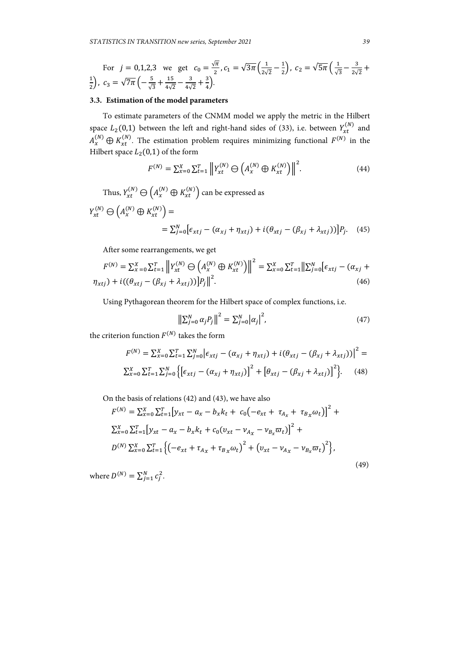For 
$$
j = 0,1,2,3
$$
 we get  $c_0 = \frac{\sqrt{\pi}}{2}$ ,  $c_1 = \sqrt{3\pi} \left(\frac{1}{2\sqrt{2}} - \frac{1}{2}\right)$ ,  $c_2 = \sqrt{5\pi} \left(\frac{1}{\sqrt{3}} - \frac{3}{2\sqrt{2}} + \frac{1}{2}\right)$ ,  $c_3 = \sqrt{7\pi} \left(-\frac{5}{\sqrt{3}} + \frac{15}{4\sqrt{2}} - \frac{3}{4\sqrt{2}} + \frac{3}{4}\right)$ .

## **3.3. Estimation of the model parameters**

To estimate parameters of the CNMM model we apply the metric in the Hilbert space  $L_2(0,1)$  between the left and right-hand sides of (33), i.e. between  $Y_{xt}^{(N)}$  and  $A_x^{(N)} \oplus K_{xt}^{(N)}$ . The estimation problem requires minimizing functional  $F^{(N)}$  in the Hilbert space  $L_2(0,1)$  of the form

$$
F^{(N)} = \sum_{x=0}^{X} \sum_{t=1}^{T} \left\| Y_{xt}^{(N)} \ominus \left( A_x^{(N)} \oplus K_{xt}^{(N)} \right) \right\|^2.
$$
 (44)

Thus,  $Y_{xt}^{(N)} \ominus (A_x^{(N)} \oplus K_{xt}^{(N)})$  can be expressed as  $Y_{xt}^{(N)} \ominus (A_x^{(N)} \oplus K_{xt}^{(N)}) =$  $=\sum_{j=0}^{N} [\epsilon_{xtj} - (\alpha_{xj} + \eta_{xtj}) + i(\theta_{xtj} - (\beta_{xj} + \lambda_{xtj}))]P_j$ . (45)

After some rearrangements, we get

$$
F^{(N)} = \sum_{x=0}^{X} \sum_{t=1}^{T} \left\| Y_{xt}^{(N)} \ominus \left( A_x^{(N)} \oplus K_{xt}^{(N)} \right) \right\|^2 = \sum_{x=0}^{X} \sum_{t=1}^{T} \left\| \sum_{j=0}^{N} \left[ \epsilon_{xtj} - (\alpha_{xj} + \eta_{xtj}) + i((\theta_{xtj} - (\beta_{xj} + \lambda_{xtj})) \right] P_j \right\|^2.
$$
\n(46)

Using Pythagorean theorem for the Hilbert space of complex functions, i.e.

$$
\left\| \sum_{j=0}^{N} \alpha_{j} P_{j} \right\|^{2} = \sum_{j=0}^{N} \left| \alpha_{j} \right|^{2}, \tag{47}
$$

the criterion function  $F^{(N)}$  takes the form

$$
F^{(N)} = \sum_{x=0}^{X} \sum_{t=1}^{T} \sum_{j=0}^{N} \left[ \epsilon_{xtj} - (\alpha_{xj} + \eta_{xtj}) + i(\theta_{xtj} - (\beta_{xj} + \lambda_{xtj})) \right]^2 =
$$
  

$$
\sum_{x=0}^{X} \sum_{t=1}^{T} \sum_{j=0}^{N} \left\{ \left[ \epsilon_{xtj} - (\alpha_{xj} + \eta_{xtj}) \right]^2 + \left[ \theta_{xtj} - (\beta_{xj} + \lambda_{xtj}) \right]^2 \right\}.
$$
 (48)

On the basis of relations (42) and (43), we have also

$$
F^{(N)} = \sum_{x=0}^{X} \sum_{t=1}^{T} [y_{xt} - a_x - b_x k_t + c_0(-e_{xt} + \tau_{A_x} + \tau_{B_x} \omega_t)]^2 +
$$
  
\n
$$
\sum_{x=0}^{X} \sum_{t=1}^{T} [y_{xt} - a_x - b_x k_t + c_0(v_{xt} - v_{A_x} - v_{B_x} \omega_t)]^2 +
$$
  
\n
$$
D^{(N)} \sum_{x=0}^{X} \sum_{t=1}^{T} \{(-e_{xt} + \tau_{A_x} + \tau_{B_x} \omega_t)^2 + (v_{xt} - v_{A_x} - v_{B_x} \omega_t)^2\},
$$
  
\n(49)

where  $D^{(N)} = \sum_{j=1}^{N} c_j^2$ .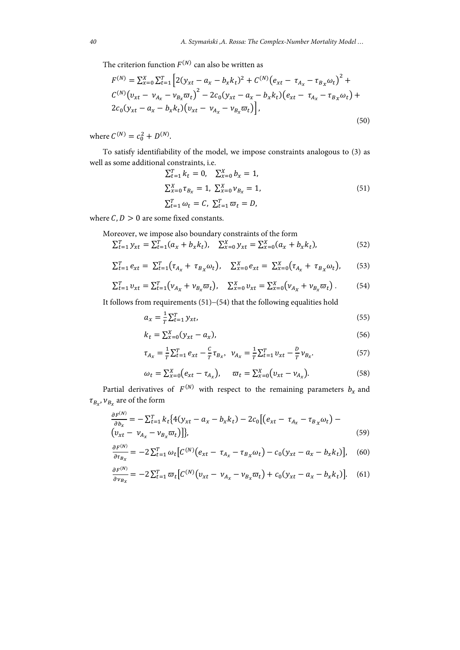The criterion function  $F^{(N)}$  can also be written as

$$
F^{(N)} = \sum_{x=0}^{X} \sum_{t=1}^{T} \left[ 2(y_{xt} - a_x - b_x k_t)^2 + C^{(N)}(e_{xt} - \tau_{A_x} - \tau_{B_x} \omega_t)^2 + C^{(N)}(v_{xt} - v_{A_x} - v_{B_x} \overline{\omega}_t)^2 - 2c_0(y_{xt} - a_x - b_x k_t)(e_{xt} - \tau_{A_x} - \tau_{B_x} \omega_t) + 2c_0(y_{xt} - a_x - b_x k_t)(v_{xt} - v_{A_x} - v_{B_x} \overline{\omega}_t) \right],
$$
\n(50)

where  $C^{(N)} = c_0^2 + D^{(N)}$ .

To satisfy identifiability of the model, we impose constraints analogous to (3) as well as some additional constraints, i.e.

$$
\sum_{t=1}^{T} k_t = 0, \quad \sum_{x=0}^{X} b_x = 1,
$$
  

$$
\sum_{x=0}^{X} \tau_{B_x} = 1, \quad \sum_{x=0}^{X} \nu_{B_x} = 1,
$$
  

$$
\sum_{t=1}^{T} \omega_t = C, \quad \sum_{t=1}^{T} \overline{\omega}_t = D,
$$
 (51)

where  $C, D > 0$  are some fixed constants.

Moreover, we impose also boundary constraints of the form

$$
\sum_{t=1}^{T} y_{xt} = \sum_{t=1}^{T} (a_x + b_x k_t), \quad \sum_{x=0}^{X} y_{xt} = \sum_{x=0}^{X} (a_x + b_x k_t), \tag{52}
$$

$$
\sum_{t=1}^{T} e_{xt} = \sum_{t=1}^{T} (\tau_{A_x} + \tau_{B_x} \omega_t), \quad \sum_{x=0}^{X} e_{xt} = \sum_{x=0}^{X} (\tau_{A_x} + \tau_{B_x} \omega_t), \quad (53)
$$

$$
\sum_{t=1}^{T} v_{xt} = \sum_{t=1}^{T} \left( \nu_{A_x} + \nu_{B_x} \overline{\omega}_t \right), \quad \sum_{x=0}^{X} v_{xt} = \sum_{x=0}^{X} \left( \nu_{A_x} + \nu_{B_x} \overline{\omega}_t \right). \tag{54}
$$

It follows from requirements  $(51)-(54)$  that the following equalities hold

$$
a_x = \frac{1}{T} \sum_{t=1}^T y_{xt},\tag{55}
$$

$$
k_t = \sum_{x=0}^{X} (y_{xt} - a_x), \tag{56}
$$

$$
\tau_{A_x} = \frac{1}{T} \sum_{t=1}^{T} e_{xt} - \frac{c}{T} \tau_{B_x}, \ \ v_{A_x} = \frac{1}{T} \sum_{t=1}^{T} v_{xt} - \frac{D}{T} v_{B_x}.
$$
 (57)

$$
\omega_t = \sum_{x=0}^{X} (e_{xt} - \tau_{A_x}), \quad \overline{\omega}_t = \sum_{x=0}^{X} (v_{xt} - v_{A_x}). \tag{58}
$$

Partial derivatives of  $F^{(N)}$  with respect to the remaining parameters  $b_x$  and  $\tau_{B_x}, \nu_{B_x}$  are of the form

$$
\frac{\partial F^{(N)}}{\partial b_x} = -\sum_{t=1}^T k_t \{ 4(y_{xt} - a_x - b_x k_t) - 2c_0 \left[ (e_{xt} - \tau_{A_x} - \tau_{B_x} \omega_t) - (y_{xt} - \nu_{A_x} - \nu_{B_x} \overline{\omega}_t) \right] \},
$$
\n(59)

$$
\frac{\partial F^{(N)}}{\partial \tau_{B_X}} = -2 \sum_{t=1}^T \omega_t \Big[ C^{(N)} \big( e_{xt} - \tau_{A_X} - \tau_{B_X} \omega_t \big) - c_0 \big( y_{xt} - a_x - b_x k_t \big) \Big], \quad (60)
$$

$$
\frac{\partial F^{(N)}}{\partial v_{B_X}} = -2 \sum_{t=1}^T \varpi_t \Big[ C^{(N)} \big( v_{xt} - v_{A_x} - v_{B_x} \varpi_t \big) + c_0 \big( y_{xt} - a_x - b_x k_t \big) \Big]. \tag{61}
$$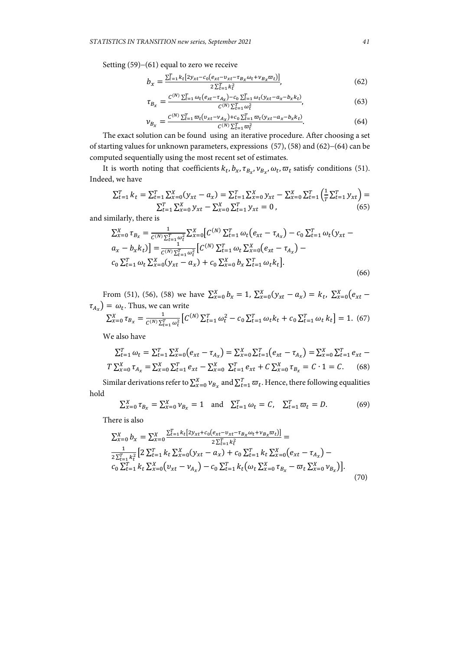Setting  $(59)-(61)$  equal to zero we receive

$$
b_x = \frac{\sum_{t=1}^{T} k_t [2y_{xt} - c_0(e_{xt} - v_{xt} - \tau_{B_x} \omega_t + v_{B_x} \omega_t)]}{2\sum_{t=1}^{T} k_t^2},
$$
(62)

$$
\tau_{B_{\chi}} = \frac{C^{(N)} \sum_{t=1}^{T} \omega_t (e_{xt} - \tau_{A_{\chi}}) - c_0 \sum_{t=1}^{T} \omega_t (y_{xt} - a_x - b_x k_t)}{C^{(N)} \sum_{t=1}^{T} \omega_t^2},
$$
(63)

$$
\nu_{B_x} = \frac{C^{(N)} \sum_{t=1}^T \varpi_t (v_{xt} - v_{A_x}) + c_0 \sum_{t=1}^T \varpi_t (y_{xt} - a_x - b_x k_t)}{C^{(N)} \sum_{t=1}^T \varpi_t^2}.
$$
(64)

The exact solution can be found using an iterative procedure. After choosing a set of starting values for unknown parameters, expressions  $(57)$ ,  $(58)$  and  $(62)-(64)$  can be computed sequentially using the most recent set of estimates.

It is worth noting that coefficients  $k_t$ ,  $b_x$ ,  $\tau_{B_x}$ ,  $v_{B_x}$ ,  $\omega_t$ ,  $\overline{\omega}_t$  satisfy conditions (51). Indeed, we have

$$
\sum_{t=1}^{T} k_t = \sum_{t=1}^{T} \sum_{x=0}^{X} (y_{xt} - a_x) = \sum_{t=1}^{T} \sum_{x=0}^{X} y_{xt} - \sum_{x=0}^{X} \sum_{t=1}^{T} \left(\frac{1}{T} \sum_{t=1}^{T} y_{xt}\right) = \sum_{t=1}^{T} \sum_{x=0}^{X} y_{xt} - \sum_{x=0}^{X} \sum_{t=1}^{T} y_{xt} = 0,
$$
\n(65)

and similarly, there is

$$
\sum_{x=0}^{X} \tau_{B_x} = \frac{1}{C^{(N)} \sum_{t=1}^{T} \omega_t^2} \sum_{x=0}^{X} \left[ C^{(N)} \sum_{t=1}^{T} \omega_t (e_{xt} - \tau_{A_x}) - c_0 \sum_{t=1}^{T} \omega_t (y_{xt} - a_x - b_x k_t) \right] = \frac{1}{C^{(N)} \sum_{t=1}^{T} \omega_t^2} \left[ C^{(N)} \sum_{t=1}^{T} \omega_t \sum_{x=0}^{X} (e_{xt} - \tau_{A_x}) - c_0 \sum_{t=1}^{T} \omega_t \sum_{x=0}^{X} (y_{xt} - a_x) + c_0 \sum_{x=0}^{X} b_x \sum_{t=1}^{T} \omega_t k_t \right].
$$
\n(66)

From (51), (56), (58) we have  $\sum_{x=0}^{X} b_x = 1$ ,  $\sum_{x=0}^{X} (y_{xt} - a_x) = k_t$ ,  $\sum_{x=0}^{X} (e_{xt} - a_x)$  $\tau_{A_x}$ ) =  $\omega_t$ . Thus, we can write

$$
\sum_{x=0}^{X} \tau_{B_x} = \frac{1}{C^{(N)} \sum_{t=1}^{T} \omega_t^2} \left[ C^{(N)} \sum_{t=1}^{T} \omega_t^2 - c_0 \sum_{t=1}^{T} \omega_t k_t + c_0 \sum_{t=1}^{T} \omega_t k_t \right] = 1. (67)
$$

We also have

$$
\sum_{t=1}^{T} \omega_t = \sum_{t=1}^{T} \sum_{x=0}^{X} (e_{xt} - \tau_{A_x}) = \sum_{x=0}^{X} \sum_{t=1}^{T} (e_{xt} - \tau_{A_x}) = \sum_{x=0}^{X} \sum_{t=1}^{T} e_{xt} - T \sum_{x=0}^{X} \tau_{A_x} = \sum_{x=0}^{X} \sum_{t=1}^{T} e_{xt} - \sum_{x=0}^{X} \sum_{t=1}^{T} e_{xt} + C \sum_{x=0}^{X} \tau_{B_x} = C \cdot 1 = C.
$$
 (68)

Similar derivations refer to  $\sum_{x=0}^{X} v_{B_x}$  and  $\sum_{t=1}^{T} \varpi_t$ . Hence, there following equalities hold

$$
\sum_{x=0}^{X} \tau_{B_x} = \sum_{x=0}^{X} \nu_{B_x} = 1 \text{ and } \sum_{t=1}^{T} \omega_t = C, \sum_{t=1}^{T} \overline{\omega}_t = D. \tag{69}
$$

There is also

$$
\sum_{x=0}^{X} b_{x} = \sum_{x=0}^{X} \frac{\sum_{t=1}^{T} k_{t} [2y_{xt} + c_{0}(e_{xt} - v_{xt} - \tau_{B_{x}}\omega_{t} + v_{B_{x}}\omega_{t})]}{2\sum_{t=1}^{T} k_{t}^{2}} =
$$
\n
$$
\frac{1}{2\sum_{t=1}^{T} k_{t}^{2}} [2\sum_{t=1}^{T} k_{t} \sum_{x=0}^{X} (y_{xt} - a_{x}) + c_{0} \sum_{t=1}^{T} k_{t} \sum_{x=0}^{X} (e_{xt} - \tau_{A_{x}}) - c_{0} \sum_{t=1}^{T} k_{t} \sum_{x=0}^{X} \tau_{B_{x}} - \varpi_{t} \sum_{x=0}^{X} v_{B_{x}})].
$$
\n
$$
c_{0} \sum_{t=1}^{T} k_{t} \sum_{x=0}^{X} (v_{xt} - v_{A_{x}}) - c_{0} \sum_{t=1}^{T} k_{t} (\omega_{t} \sum_{x=0}^{X} \tau_{B_{x}} - \varpi_{t} \sum_{x=0}^{X} v_{B_{x}})].
$$
\n(70)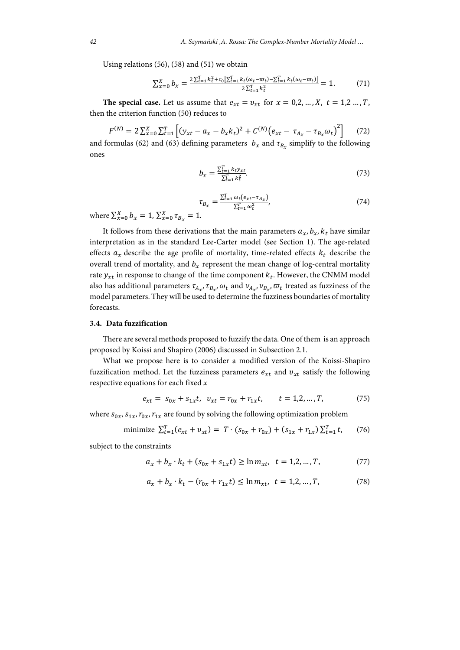Using relations (56), (58) and (51) we obtain

$$
\sum_{x=0}^{X} b_x = \frac{2\sum_{t=1}^{T} k_t^2 + c_0 \left[\sum_{t=1}^{T} k_t (\omega_t - \overline{\omega}_t) - \sum_{t=1}^{T} k_t (\omega_t - \overline{\omega}_t)\right]}{2\sum_{t=1}^{T} k_t^2} = 1.
$$
 (71)

**The special case.** Let us assume that  $e_{xt} = v_{xt}$  for  $x = 0, 2, ..., X$ ,  $t = 1, 2, ..., T$ , then the criterion function (50) reduces to

 $F^{(N)} = 2 \sum_{x=0}^{N} \sum_{t=1}^{T} \left[ (y_{xt} - a_x - b_x k_t)^2 + C^{(N)} (e_{xt} - \tau_{A_x} - \tau_{B_x} \omega_t)^2 \right]$  (72) and formulas (62) and (63) defining parameters  $b_x$  and  $\tau_{B_x}$  simplify to the following ones

$$
b_x = \frac{\sum_{t=1}^{T} k_t y_{xt}}{\sum_{t=1}^{T} k_t^2}.
$$
\n(73)

$$
\tau_{B_{\chi}} = \frac{\sum_{t=1}^{T} \omega_t (e_{xt} - \tau_{A_{\chi}})}{\sum_{t=1}^{T} \omega_t^2},\tag{74}
$$

where  $\sum_{x=0}^{X} b_x = 1$ ,  $\sum_{x=0}^{X} \tau_{B_x} = 1$ .

It follows from these derivations that the main parameters  $a_x$ ,  $b_x$ ,  $k_t$  have similar interpretation as in the standard Lee-Carter model (see Section 1). The age-related effects  $a_x$  describe the age profile of mortality, time-related effects  $k_t$  describe the overall trend of mortality, and  $b_x$  represent the mean change of log-central mortality rate  $y_{xt}$  in response to change of the time component  $k_t$ . However, the CNMM model also has additional parameters  $\tau_{A_x}, \tau_{B_x}, \omega_t$  and  $\nu_{A_x}, \nu_{B_x}, \omega_t$  treated as fuzziness of the model parameters. They will be used to determine the fuzziness boundaries of mortality forecasts.

#### **3.4. Data fuzzification**

There are several methods proposed to fuzzify the data. One of them is an approach proposed by Koissi and Shapiro (2006) discussed in Subsection 2.1.

What we propose here is to consider a modified version of the Koissi-Shapiro fuzzification method. Let the fuzziness parameters  $e_{xt}$  and  $v_{xt}$  satisfy the following respective equations for each fixed *x*

$$
e_{xt} = s_{0x} + s_{1x}t, \ v_{xt} = r_{0x} + r_{1x}t, \qquad t = 1, 2, ..., T,
$$
 (75)

where  $s_{0x}$ ,  $s_{1x}$ ,  $r_{0x}$ ,  $r_{1x}$  are found by solving the following optimization problem

minimize 
$$
\sum_{t=1}^{T} (e_{xt} + v_{xt}) = T \cdot (s_{0x} + r_{0x}) + (s_{1x} + r_{1x}) \sum_{t=1}^{T} t
$$
, (76)

subject to the constraints

$$
a_x + b_x \cdot k_t + (s_{0x} + s_{1x}t) \ge \ln m_{xt}, \ t = 1, 2, ..., T,
$$
 (77)

$$
a_x + b_x \cdot k_t - (r_{0x} + r_{1x}t) \le \ln m_{xt}, \ t = 1, 2, ..., T,
$$
 (78)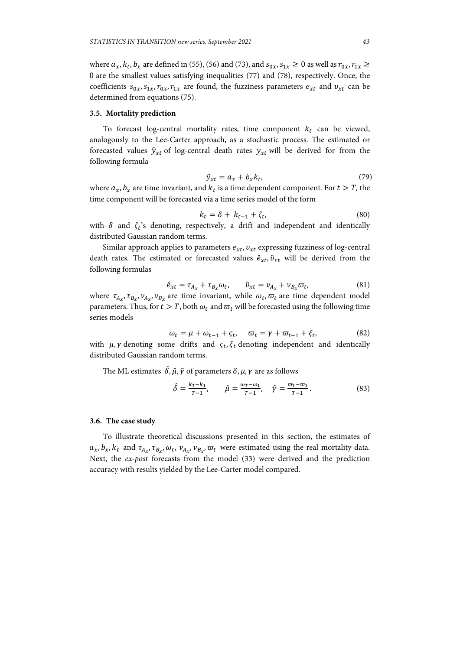where  $a_x$ ,  $k_t$ ,  $b_x$  are defined in (55), (56) and (73), and  $s_{0x}$ ,  $s_{1x} \ge 0$  as well as  $r_{0x}$ ,  $r_{1x} \ge$ 0 are the smallest values satisfying inequalities (77) and (78), respectively. Once, the coefficients  $s_{0x}$ ,  $s_{1x}$ ,  $r_{0x}$ ,  $r_{1x}$  are found, the fuzziness parameters  $e_{xt}$  and  $v_{xt}$  can be determined from equations (75).

## **3.5. Mortality prediction**

To forecast log-central mortality rates, time component  $k_t$  can be viewed, analogously to the Lee-Carter approach, as a stochastic process. The estimated or forecasted values  $\hat{y}_{xt}$  of log-central death rates  $y_{xt}$  will be derived for from the following formula

$$
\hat{y}_{xt} = a_x + b_x k_t, \tag{79}
$$

where  $a_x$ ,  $b_x$  are time invariant, and  $k_t$  is a time dependent component. For  $t > T$ , the time component will be forecasted via a time series model of the form

$$
k_t = \delta + k_{t-1} + \zeta_t,\tag{80}
$$

with  $\delta$  and  $\zeta_t$ 's denoting, respectively, a drift and independent and identically distributed Gaussian random terms.

Similar approach applies to parameters  $e_{xt}$ ,  $v_{xt}$  expressing fuzziness of log-central death rates. The estimated or forecasted values  $\hat{e}_{xt}$ ,  $\hat{v}_{xt}$  will be derived from the following formulas

$$
\hat{e}_{xt} = \tau_{A_x} + \tau_{B_x} \omega_t, \qquad \hat{v}_{xt} = \nu_{A_x} + \nu_{B_x} \overline{\omega}_t, \tag{81}
$$

where  $\tau_{A_{\star}}, \tau_{B_{\star}}, \nu_{A_{\star}}, \nu_{B_{\star}}$  are time invariant, while  $\omega_t, \varpi_t$  are time dependent model parameters. Thus, for  $t > T$ , both  $\omega_t$  and  $\overline{\omega}_t$  will be forecasted using the following time series models

$$
\omega_t = \mu + \omega_{t-1} + \varsigma_t, \quad \varpi_t = \gamma + \varpi_{t-1} + \xi_t,\tag{82}
$$

with  $\mu$ ,  $\gamma$  denoting some drifts and  $\zeta_t$ ,  $\xi_t$  denoting independent and identically distributed Gaussian random terms.

The ML estimates  $\hat{\delta}$ ,  $\hat{\mu}$ ,  $\hat{\gamma}$  of parameters  $\delta$ ,  $\mu$ ,  $\gamma$  are as follows

$$
\hat{\delta} = \frac{k_T - k_1}{T - 1}, \qquad \hat{\mu} = \frac{\omega_T - \omega_1}{T - 1}, \quad \hat{\gamma} = \frac{\omega_T - \omega_1}{T - 1}.
$$
\n(83)

#### **3.6. The case study**

To illustrate theoretical discussions presented in this section, the estimates of  $a_x, b_x, k_t$  and  $\tau_{A_x}, \tau_{B_x}, \omega_t, \nu_{A_x}, \nu_{B_x}, \overline{\omega}_t$  were estimated using the real mortality data. Next, the *ex-post* forecasts from the model (33) were derived and the prediction accuracy with results yielded by the Lee-Carter model compared.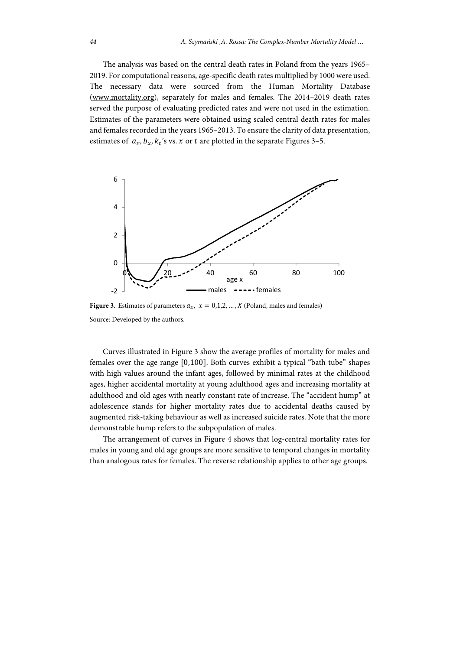The analysis was based on the central death rates in Poland from the years 1965– 2019. For computational reasons, age-specific death rates multiplied by 1000 were used. The necessary data were sourced from the Human Mortality Database (www.mortality.org), separately for males and females. The 2014–2019 death rates served the purpose of evaluating predicted rates and were not used in the estimation. Estimates of the parameters were obtained using scaled central death rates for males and females recorded in the years 1965–2013. To ensure the clarity of data presentation, estimates of  $a_x$ ,  $b_x$ ,  $k_t$ 's vs.  $x$  or  $t$  are plotted in the separate Figures 3–5.



**Figure 3.** Estimates of parameters  $a_x$ ,  $x = 0,1,2,...,X$  (Poland, males and females) Source: Developed by the authors.

Curves illustrated in Figure 3 show the average profiles of mortality for males and females over the age range  $[0,100]$ . Both curves exhibit a typical "bath tube" shapes with high values around the infant ages, followed by minimal rates at the childhood ages, higher accidental mortality at young adulthood ages and increasing mortality at adulthood and old ages with nearly constant rate of increase. The "accident hump" at adolescence stands for higher mortality rates due to accidental deaths caused by augmented risk-taking behaviour as well as increased suicide rates. Note that the more demonstrable hump refers to the subpopulation of males.

The arrangement of curves in Figure 4 shows that log-central mortality rates for males in young and old age groups are more sensitive to temporal changes in mortality than analogous rates for females. The reverse relationship applies to other age groups.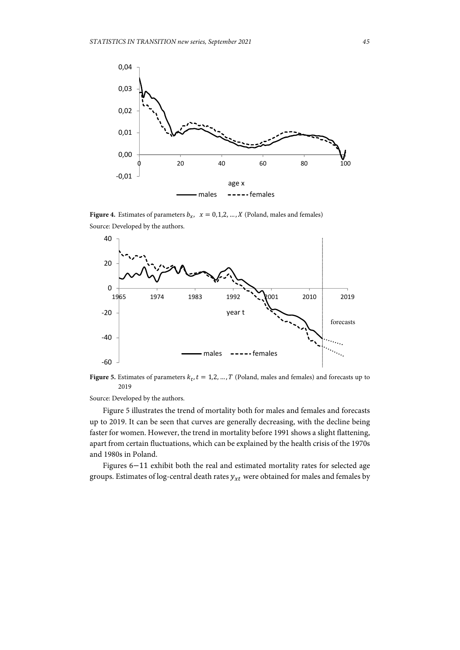

**Figure 4.** Estimates of parameters  $b_x$ ,  $x = 0,1,2,...,X$  (Poland, males and females) Source: Developed by the authors.



**Figure 5.** Estimates of parameters  $k_t$ ,  $t = 1,2, ..., T$  (Poland, males and females) and forecasts up to 2019

Source: Developed by the authors.

Figure 5 illustrates the trend of mortality both for males and females and forecasts up to 2019. It can be seen that curves are generally decreasing, with the decline being faster for women. However, the trend in mortality before 1991 shows a slight flattening, apart from certain fluctuations, which can be explained by the health crisis of the 1970s and 1980s in Poland.

Figures  $6-11$  exhibit both the real and estimated mortality rates for selected age groups. Estimates of log-central death rates  $y_{xt}$  were obtained for males and females by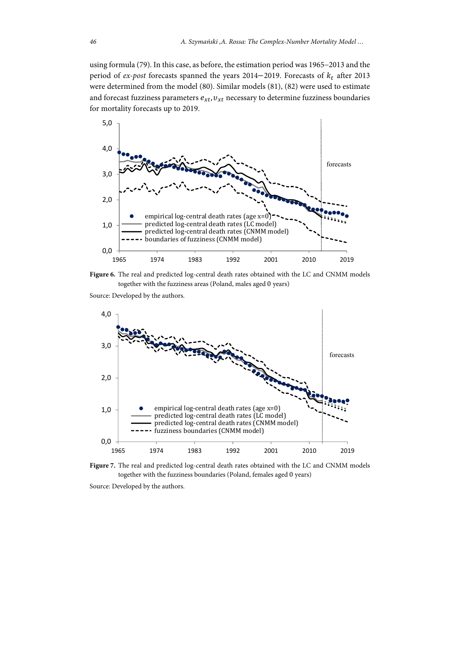using formula (79). In this case, as before, the estimation period was 1965-2013 and the period of  $ex$ -post forecasts spanned the years 2014–2019. Forecasts of  $k_t$  after 2013 were determined from the model (80). Similar models (81), (82) were used to estimate and forecast fuzziness parameters  $e_{xt}$ ,  $v_{xt}$  necessary to determine fuzziness boundaries for mortality forecasts up to 2019.



**Figure 6.** The real and predicted log-central death rates obtained with the LC and CNMM models together with the fuzziness areas (Poland, males aged 0 years)

Source: Developed by the authors.



**Figure 7.** The real and predicted log-central death rates obtained with the LC and CNMM models together with the fuzziness boundaries (Poland, females aged 0 years)

Source: Developed by the authors.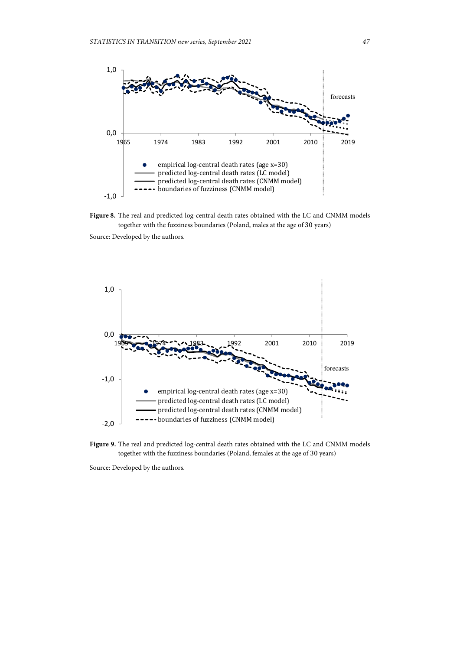



Source: Developed by the authors.



Figure 9. The real and predicted log-central death rates obtained with the LC and CNMM models together with the fuzziness boundaries (Poland, females at the age of 30 years)

Source: Developed by the authors.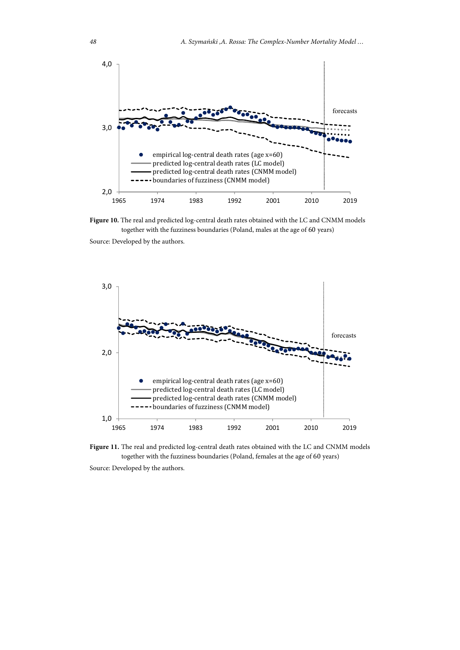

**Figure 10.** The real and predicted log-central death rates obtained with the LC and CNMM models together with the fuzziness boundaries (Poland, males at the age of 60 years)

Source: Developed by the authors.



**Figure 11.** The real and predicted log-central death rates obtained with the LC and CNMM models together with the fuzziness boundaries (Poland, females at the age of 60 years)

Source: Developed by the authors.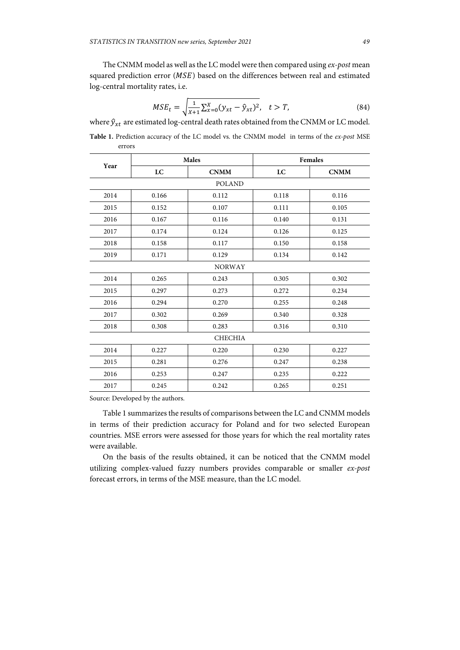The CNMM model as well as the LC model were then compared using *ex-post* mean squared prediction error  $(MSE)$  based on the differences between real and estimated log-central mortality rates, i.e.

$$
MSE_t = \sqrt{\frac{1}{X+1} \sum_{x=0}^{X} (y_{xt} - \hat{y}_{xt})^2}, \quad t > T,
$$
\n(84)

where  $\hat{y}_{xt}$  are estimated log-central death rates obtained from the CNMM or LC model.

**Table 1.** Prediction accuracy of the LC model vs. the CNMM model in terms of the *ex-post* MSE errors

| Year           | <b>Males</b> |             | <b>Females</b> |             |
|----------------|--------------|-------------|----------------|-------------|
|                | LC           | <b>CNMM</b> | LC             | <b>CNMM</b> |
| <b>POLAND</b>  |              |             |                |             |
| 2014           | 0.166        | 0.112       | 0.118          | 0.116       |
| 2015           | 0.152        | 0.107       | 0.111          | 0.105       |
| 2016           | 0.167        | 0.116       | 0.140          | 0.131       |
| 2017           | 0.174        | 0.124       | 0.126          | 0.125       |
| 2018           | 0.158        | 0.117       | 0.150          | 0.158       |
| 2019           | 0.171        | 0.129       | 0.134          | 0.142       |
| <b>NORWAY</b>  |              |             |                |             |
| 2014           | 0.265        | 0.243       | 0.305          | 0.302       |
| 2015           | 0.297        | 0.273       | 0.272          | 0.234       |
| 2016           | 0.294        | 0.270       | 0.255          | 0.248       |
| 2017           | 0.302        | 0.269       | 0.340          | 0.328       |
| 2018           | 0.308        | 0.283       | 0.316          | 0.310       |
| <b>CHECHIA</b> |              |             |                |             |
| 2014           | 0.227        | 0.220       | 0.230          | 0.227       |
| 2015           | 0.281        | 0.276       | 0.247          | 0.238       |
| 2016           | 0.253        | 0.247       | 0.235          | 0.222       |
| 2017           | 0.245        | 0.242       | 0.265          | 0.251       |

Source: Developed by the authors.

Table 1 summarizes the results of comparisons between the LC and CNMM models in terms of their prediction accuracy for Poland and for two selected European countries. MSE errors were assessed for those years for which the real mortality rates were available.

On the basis of the results obtained, it can be noticed that the CNMM model utilizing complex-valued fuzzy numbers provides comparable or smaller *ex-post* forecast errors, in terms of the MSE measure, than the LC model.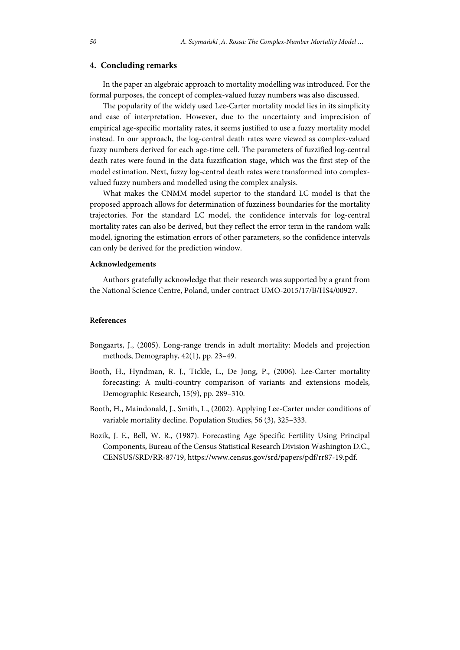# **4. Concluding remarks**

In the paper an algebraic approach to mortality modelling was introduced. For the formal purposes, the concept of complex-valued fuzzy numbers was also discussed.

The popularity of the widely used Lee-Carter mortality model lies in its simplicity and ease of interpretation. However, due to the uncertainty and imprecision of empirical age-specific mortality rates, it seems justified to use a fuzzy mortality model instead. In our approach, the log-central death rates were viewed as complex-valued fuzzy numbers derived for each age-time cell. The parameters of fuzzified log-central death rates were found in the data fuzzification stage, which was the first step of the model estimation. Next, fuzzy log-central death rates were transformed into complexvalued fuzzy numbers and modelled using the complex analysis.

What makes the CNMM model superior to the standard LC model is that the proposed approach allows for determination of fuzziness boundaries for the mortality trajectories. For the standard LC model, the confidence intervals for log-central mortality rates can also be derived, but they reflect the error term in the random walk model, ignoring the estimation errors of other parameters, so the confidence intervals can only be derived for the prediction window.

#### **Acknowledgements**

Authors gratefully acknowledge that their research was supported by a grant from the National Science Centre, Poland, under contract UMO-2015/17/B/HS4/00927.

#### **References**

- Bongaarts, J., (2005). Long-range trends in adult mortality: Models and projection methods, Demography, 42(1), pp. 23–49.
- Booth, H., Hyndman, R. J., Tickle, L., De Jong, P., (2006). Lee-Carter mortality forecasting: A multi-country comparison of variants and extensions models, Demographic Research, 15(9), pp. 289–310.
- Booth, H., Maindonald, J., Smith, L., (2002). Applying Lee-Carter under conditions of variable mortality decline. Population Studies, 56 (3), 325–333.
- Bozik, J. E., Bell, W. R., (1987). Forecasting Age Specific Fertility Using Principal Components, Bureau of the Census Statistical Research Division Washington D.C., CENSUS/SRD/RR-87/19, https://www.census.gov/srd/papers/pdf/rr87-19.pdf.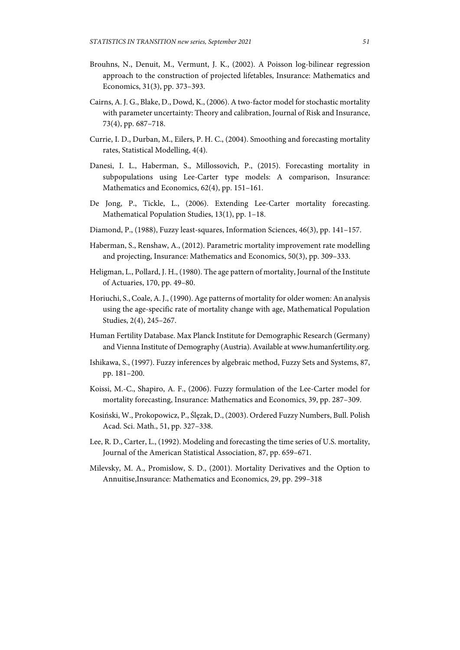- Brouhns, N., Denuit, M., Vermunt, J. K., (2002). A Poisson log-bilinear regression approach to the construction of projected lifetables, Insurance: Mathematics and Economics, 31(3), pp. 373–393.
- Cairns, A. J. G., Blake, D., Dowd, K., (2006). A two-factor model for stochastic mortality with parameter uncertainty: Theory and calibration, Journal of Risk and Insurance, 73(4), pp. 687–718.
- Currie, I. D., Durban, M., Eilers, P. H. C., (2004). Smoothing and forecasting mortality rates, Statistical Modelling, 4(4).
- Danesi, I. L., Haberman, S., Millossovich, P., (2015). Forecasting mortality in subpopulations using Lee-Carter type models: A comparison, Insurance: Mathematics and Economics, 62(4), pp. 151–161.
- De Jong, P., Tickle, L., (2006). Extending Lee-Carter mortality forecasting. Mathematical Population Studies, 13(1), pp. 1–18.
- Diamond, P., (1988), Fuzzy least-squares, Information Sciences, 46(3), pp. 141–157.
- Haberman, S., Renshaw, A., (2012). Parametric mortality improvement rate modelling and projecting, Insurance: Mathematics and Economics, 50(3), pp. 309–333.
- Heligman, L., Pollard, J. H., (1980). The age pattern of mortality, Journal of the Institute of Actuaries, 170, pp. 49–80.
- Horiuchi, S., Coale, A. J., (1990). Age patterns of mortality for older women: An analysis using the age-specific rate of mortality change with age, Mathematical Population Studies, 2(4), 245–267.
- Human Fertility Database. Max Planck Institute for Demographic Research (Germany) and Vienna Institute of Demography (Austria). Available at www.humanfertility.org.
- Ishikawa, S., (1997). Fuzzy inferences by algebraic method, Fuzzy Sets and Systems, 87, pp. 181–200.
- Koissi, M.-C., Shapiro, A. F., (2006). Fuzzy formulation of the Lee-Carter model for mortality forecasting, Insurance: Mathematics and Economics, 39, pp. 287–309.
- Kosiński, W., Prokopowicz, P., Ślęzak, D., (2003). Ordered Fuzzy Numbers, Bull. Polish Acad. Sci. Math., 51, pp. 327–338.
- Lee, R. D., Carter, L., (1992). Modeling and forecasting the time series of U.S. mortality, Journal of the American Statistical Association, 87, pp. 659–671.
- Milevsky, M. A., Promislow, S. D., (2001). Mortality Derivatives and the Option to Annuitise,Insurance: Mathematics and Economics, 29, pp. 299–318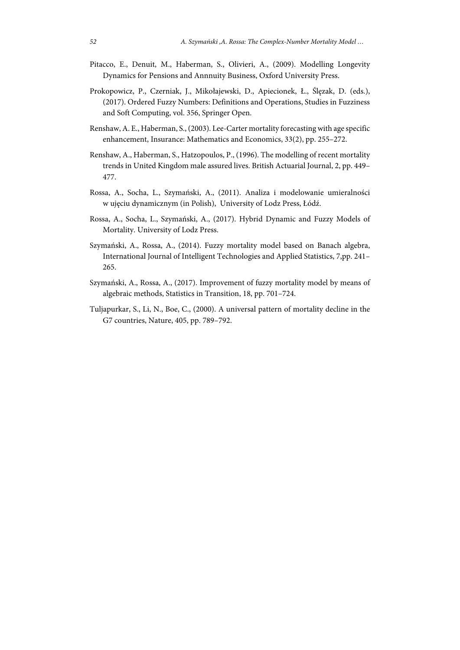- Pitacco, E., Denuit, M., Haberman, S., Olivieri, A., (2009). Modelling Longevity Dynamics for Pensions and Annnuity Business, Oxford University Press.
- Prokopowicz, P., Czerniak, J., Mikołajewski, D., Apiecionek, Ł., Ślęzak, D. (eds.), (2017). Ordered Fuzzy Numbers: Definitions and Operations, Studies in Fuzziness and Soft Computing, vol. 356, Springer Open.
- Renshaw, A. E., Haberman, S., (2003). Lee-Carter mortality forecasting with age specific enhancement, Insurance: Mathematics and Economics, 33(2), pp. 255–272.
- Renshaw, A., Haberman, S., Hatzopoulos, P., (1996). The modelling of recent mortality trends in United Kingdom male assured lives. British Actuarial Journal, 2, pp. 449– 477.
- Rossa, A., Socha, L., Szymański, A., (2011). Analiza i modelowanie umieralności w ujęciu dynamicznym (in Polish), University of Lodz Press, Łódź.
- Rossa, A., Socha, L., Szymański, A., (2017). Hybrid Dynamic and Fuzzy Models of Mortality. University of Lodz Press.
- Szymański, A., Rossa, A., (2014). Fuzzy mortality model based on Banach algebra, International Journal of Intelligent Technologies and Applied Statistics, 7,pp. 241– 265.
- Szymański, A., Rossa, A., (2017). Improvement of fuzzy mortality model by means of algebraic methods, Statistics in Transition, 18, pp. 701–724.
- Tuljapurkar, S., Li, N., Boe, C., (2000). A universal pattern of mortality decline in the G7 countries, Nature, 405, pp. 789–792.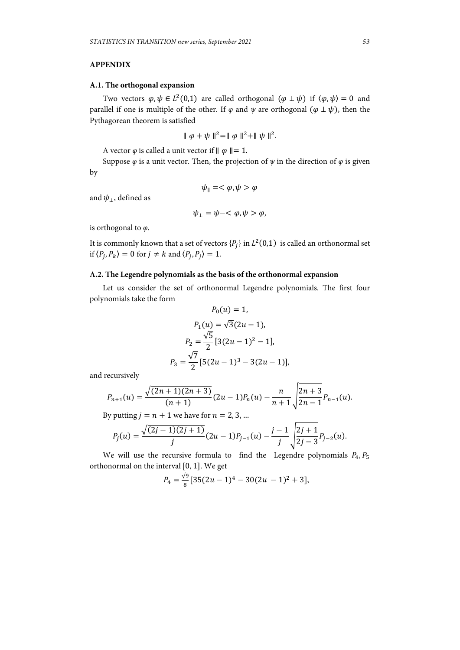# **APPENDIX**

## **A.1. The orthogonal expansion**

Two vectors  $\varphi, \psi \in L^2(0,1)$  are called orthogonal  $(\varphi \perp \psi)$  if  $\langle \varphi, \psi \rangle = 0$  and parallel if one is multiple of the other. If  $\varphi$  and  $\psi$  are orthogonal  $(\varphi \perp \psi)$ , then the Pythagorean theorem is satisfied

$$
\|\varphi + \psi\|^2 = \|\varphi\|^2 + \|\psi\|^2.
$$

A vector  $\varphi$  is called a unit vector if  $\|\varphi\|=1$ .

Suppose  $\varphi$  is a unit vector. Then, the projection of  $\psi$  in the direction of  $\varphi$  is given by

$$
\psi_{\parallel}=<\varphi,\psi>\varphi
$$

and  $\psi_{\perp}$ , defined as

$$
\psi_{\perp} = \psi - \langle \varphi, \psi \rangle \varphi,
$$

is orthogonal to *φ*.

It is commonly known that a set of vectors  $\{P_i\}$  in  $L^2(0,1)$  is called an orthonormal set if  $\langle P_j, P_k \rangle = 0$  for  $j \neq k$  and  $\langle P_j, P_j \rangle = 1$ .

# **A.2. The Legendre polynomials as the basis of the orthonormal expansion**

Let us consider the set of orthonormal Legendre polynomials. The first four polynomials take the form  $\overline{p}$   $\overline{r}$ ,  $\overline{r}$ 

$$
P_0(u) = 1,
$$
  
\n
$$
P_1(u) = \sqrt{3}(2u - 1),
$$
  
\n
$$
P_2 = \frac{\sqrt{5}}{2} [3(2u - 1)^2 - 1],
$$
  
\n
$$
P_3 = \frac{\sqrt{7}}{2} [5(2u - 1)^3 - 3(2u - 1)],
$$

and recursively

$$
P_{n+1}(u) = \frac{\sqrt{(2n+1)(2n+3)}}{(n+1)}(2u-1)P_n(u) - \frac{n}{n+1}\sqrt{\frac{2n+3}{2n-1}}P_{n-1}(u).
$$

By putting  $j = n + 1$  we have for  $n = 2, 3, ...$ 

$$
P_j(u) = \frac{\sqrt{(2j-1)(2j+1)}}{j}(2u-1)P_{j-1}(u) - \frac{j-1}{j}\sqrt{\frac{2j+1}{2j-3}P_{j-2}(u)}.
$$

We will use the recursive formula to find the Legendre polynomials  $P_4$ ,  $P_5$ orthonormal on the interval  $[0, 1]$ . We get

$$
P_4 = \frac{\sqrt{9}}{8} [35(2u-1)^4 - 30(2u-1)^2 + 3],
$$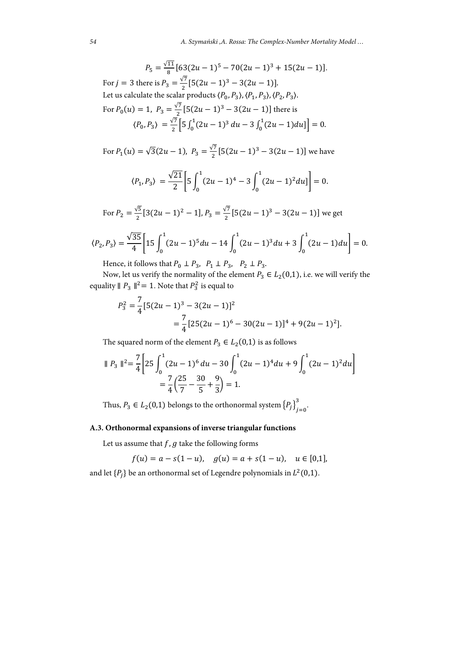$$
P_5 = \frac{\sqrt{11}}{8} [63(2u - 1)^5 - 70(2u - 1)^3 + 15(2u - 1)].
$$
  
For  $j = 3$  there is  $P_3 = \frac{\sqrt{7}}{2} [5(2u - 1)^3 - 3(2u - 1)].$   
Let us calculate the scalar products  $\langle P_0, P_3 \rangle, \langle P_1, P_3 \rangle, \langle P_2, P_3 \rangle.$   
For  $P_0(u) = 1$ ,  $P_3 = \frac{\sqrt{7}}{2} [5(2u - 1)^3 - 3(2u - 1)]$  there is  
 $\langle P_0, P_3 \rangle = \frac{\sqrt{7}}{2} [5 \int_0^1 (2u - 1)^3 du - 3 \int_0^1 (2u - 1) du] = 0.$ 

For  $P_1(u) = \sqrt{3}(2u - 1)$ ,  $P_3 = \frac{\sqrt{7}}{2}[5(2u - 1)^3 - 3(2u - 1)]$  we have

$$
\langle P_1, P_3 \rangle = \frac{\sqrt{21}}{2} \bigg[ 5 \int_0^1 (2u - 1)^4 - 3 \int_0^1 (2u - 1)^2 du \bigg] = 0.
$$

For  $P_2 = \frac{\sqrt{5}}{2} [3(2u-1)^2 - 1]$ ,  $P_3 = \frac{\sqrt{7}}{2} [5(2u-1)^3 - 3(2u-1)]$  we get

$$
\langle P_2, P_3 \rangle = \frac{\sqrt{35}}{4} \bigg[ 15 \int_0^1 (2u - 1)^5 du - 14 \int_0^1 (2u - 1)^3 du + 3 \int_0^1 (2u - 1) du \bigg] = 0.
$$

Hence, it follows that  $P_0 \perp P_3$ ,  $P_1 \perp P_3$ ,  $P_2 \perp P_3$ .

Now, let us verify the normality of the element  $P_3 \in L_2(0,1)$ , i.e. we will verify the equality  $|| P_3 ||^2 = 1$ . Note that  $P_3^2$  is equal to

$$
P_3^2 = \frac{7}{4} [5(2u - 1)^3 - 3(2u - 1)]^2
$$
  
=  $\frac{7}{4} [25(2u - 1)^6 - 30(2u - 1)]^4 + 9(2u - 1)^2].$ 

The squared norm of the element  $P_3 \in L_2(0,1)$  is as follows

$$
\| P_3 \|^{2} = \frac{7}{4} \left[ 25 \int_0^1 (2u - 1)^6 du - 30 \int_0^1 (2u - 1)^4 du + 9 \int_0^1 (2u - 1)^2 du \right]
$$
  
=  $\frac{7}{4} \left( \frac{25}{7} - \frac{30}{5} + \frac{9}{3} \right) = 1.$ 

Thus,  $P_3 \in L_2(0,1)$  belongs to the orthonormal system  $\{P_j\}_{j=0}^3$ .

# **A.3. Orthonormal expansions of inverse triangular functions**

Let us assume that  $f$ ,  $g$  take the following forms

$$
f(u) = a - s(1 - u), \quad g(u) = a + s(1 - u), \quad u \in [0, 1],
$$

and let  $\{P_i\}$  be an orthonormal set of Legendre polynomials in  $L^2(0,1)$ .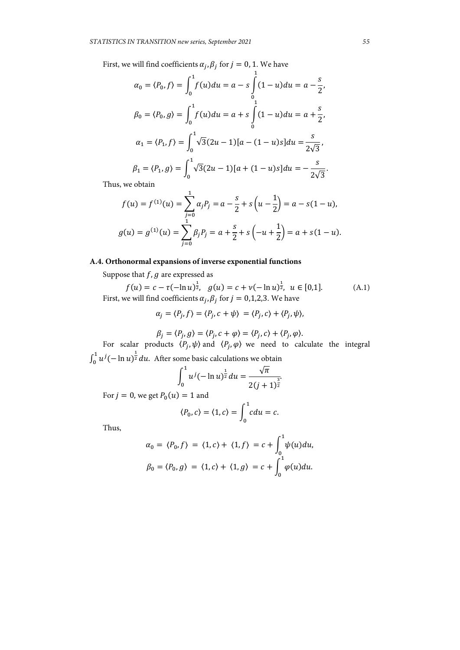First, we will find coefficients  $\alpha_j$ ,  $\beta_j$  for  $j = 0, 1$ . We have

$$
\alpha_0 = \langle P_0, f \rangle = \int_0^1 f(u) du = a - s \int_0^1 (1 - u) du = a - \frac{s}{2},
$$
  
\n
$$
\beta_0 = \langle P_0, g \rangle = \int_0^1 f(u) du = a + s \int_0^1 (1 - u) du = a + \frac{s}{2},
$$
  
\n
$$
\alpha_1 = \langle P_1, f \rangle = \int_0^1 \sqrt{3} (2u - 1) [a - (1 - u)s] du = \frac{s}{2\sqrt{3}},
$$
  
\n
$$
\beta_1 = \langle P_1, g \rangle = \int_0^1 \sqrt{3} (2u - 1) [a + (1 - u)s] du = -\frac{s}{2\sqrt{3}}.
$$

Thus, we obtain

$$
f(u) = f^{(1)}(u) = \sum_{j=0}^{1} \alpha_j P_j = a - \frac{s}{2} + s\left(u - \frac{1}{2}\right) = a - s(1 - u),
$$
  

$$
g(u) = g^{(1)}(u) = \sum_{j=0}^{1} \beta_j P_j = a + \frac{s}{2} + s\left(-u + \frac{1}{2}\right) = a + s(1 - u).
$$

# **A.4. Orthonormal expansions of inverse exponential functions**

Suppose that  $f$ ,  $g$  are expressed as

 $f(u) = c - \tau(-\ln u)^{\frac{1}{2}}, \quad g(u) = c + \nu(-\ln u)^{\frac{1}{2}}, \quad u \in [0,1].$  (A.1) First, we will find coefficients  $\alpha_j$ ,  $\beta_j$  for  $j = 0, 1, 2, 3$ . We have

$$
\alpha_j = \langle P_j, f \rangle = \langle P_j, c + \psi \rangle = \langle P_j, c \rangle + \langle P_j, \psi \rangle,
$$

$$
\beta_j = \langle P_j, g \rangle = \langle P_j, c + \varphi \rangle = \langle P_j, c \rangle + \langle P_j, \varphi \rangle.
$$

For scalar products  $\langle P_j, \psi \rangle$  and  $\langle P_j, \varphi \rangle$  we need to calculate the integral  $\int_0^1 u^j(-\ln u)^{\frac{1}{2}} du$ . After some basic calculations we obtain

$$
\int_0^1 u^j (-\ln u)^{\frac{1}{2}} du = \frac{\sqrt{\pi}}{2(j+1)^{\frac{3}{2}}}
$$

For  $j = 0$ , we get  $P_0(u) = 1$  and

$$
\langle P_0, c \rangle = \langle 1, c \rangle = \int_0^1 c du = c.
$$

Thus,

$$
\alpha_0 = \langle P_0, f \rangle = \langle 1, c \rangle + \langle 1, f \rangle = c + \int_0^1 \psi(u) du,
$$
  

$$
\beta_0 = \langle P_0, g \rangle = \langle 1, c \rangle + \langle 1, g \rangle = c + \int_0^1 \varphi(u) du.
$$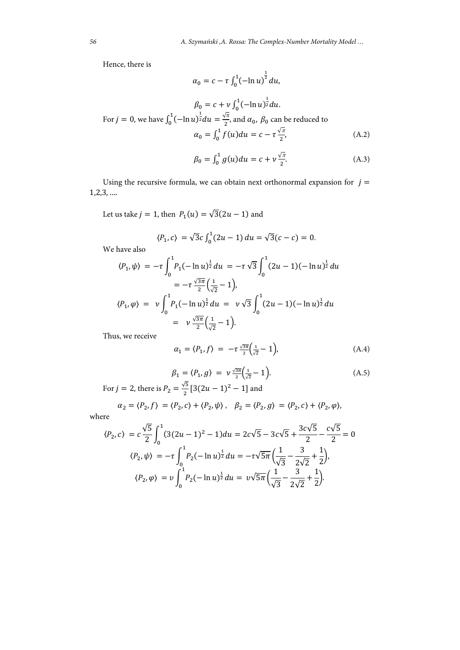Hence, there is

$$
\alpha_0 = c - \tau \int_0^1 (-\ln u)^{\frac{1}{2}} du,
$$

$$
\beta_0 = c + v \int_0^1 (-\ln u)^{\frac{1}{2}} du.
$$
  
For  $j = 0$ , we have  $\int_0^1 (-\ln u)^{\frac{1}{2}} du = \frac{\sqrt{\pi}}{2}$ , and  $\alpha_0$ ,  $\beta_0$  can be reduced to  

$$
\alpha_0 = \int_0^1 f(u) du = c - \tau \frac{\sqrt{\pi}}{2},
$$
 (A.2)

$$
\beta_0 = \int_0^1 g(u) du = c + v \frac{\sqrt{\pi}}{2}.
$$
 (A.3)

Using the recursive formula, we can obtain next orthonormal expansion for  $j =$ 1,2,3, ….

Let us take  $j = 1$ , then  $P_1(u) = \sqrt{3}(2u - 1)$  and

$$
\langle P_1, c \rangle = \sqrt{3}c \int_0^1 (2u - 1) \, du = \sqrt{3}(c - c) = 0.
$$

We have also

$$
\langle P_1, \psi \rangle = -\tau \int_0^1 P_1(-\ln u)^{\frac{1}{2}} du = -\tau \sqrt{3} \int_0^1 (2u - 1)(-\ln u)^{\frac{1}{2}} du
$$
  

$$
= -\tau \frac{\sqrt{3\pi}}{2} \left(\frac{1}{\sqrt{2}} - 1\right),
$$
  

$$
\langle P_1, \varphi \rangle = \nu \int_0^1 P_1(-\ln u)^{\frac{1}{2}} du = \nu \sqrt{3} \int_0^1 (2u - 1)(-\ln u)^{\frac{1}{2}} du
$$
  

$$
= \nu \frac{\sqrt{3\pi}}{2} \left(\frac{1}{\sqrt{2}} - 1\right).
$$

Thus, we receive

$$
\alpha_1 = \langle P_1, f \rangle = -\tau \frac{\sqrt{3\pi}}{2} \left( \frac{1}{\sqrt{2}} - 1 \right), \tag{A.4}
$$

$$
\beta_1 = \langle P_1, g \rangle = \nu \frac{\sqrt{3\pi}}{2} \left( \frac{1}{\sqrt{2}} - 1 \right). \tag{A.5}
$$

For 
$$
j = 2
$$
, there is  $P_2 = \frac{\sqrt{5}}{2} [3(2u - 1)^2 - 1]$  and

$$
\alpha_2 = \langle P_2, f \rangle = \langle P_2, c \rangle + \langle P_2, \psi \rangle, \quad \beta_2 = \langle P_2, g \rangle = \langle P_2, c \rangle + \langle P_2, \varphi \rangle,
$$

where

$$
\langle P_2, c \rangle = c \frac{\sqrt{5}}{2} \int_0^1 (3(2u - 1)^2 - 1) du = 2c\sqrt{5} - 3c\sqrt{5} + \frac{3c\sqrt{5}}{2} - \frac{c\sqrt{5}}{2} = 0
$$
  

$$
\langle P_2, \psi \rangle = -\tau \int_0^1 P_2(-\ln u)^{\frac{1}{2}} du = -\tau \sqrt{5\pi} \left(\frac{1}{\sqrt{3}} - \frac{3}{2\sqrt{2}} + \frac{1}{2}\right),
$$
  

$$
\langle P_2, \varphi \rangle = v \int_0^1 P_2(-\ln u)^{\frac{1}{2}} du = v\sqrt{5\pi} \left(\frac{1}{\sqrt{3}} - \frac{3}{2\sqrt{2}} + \frac{1}{2}\right).
$$